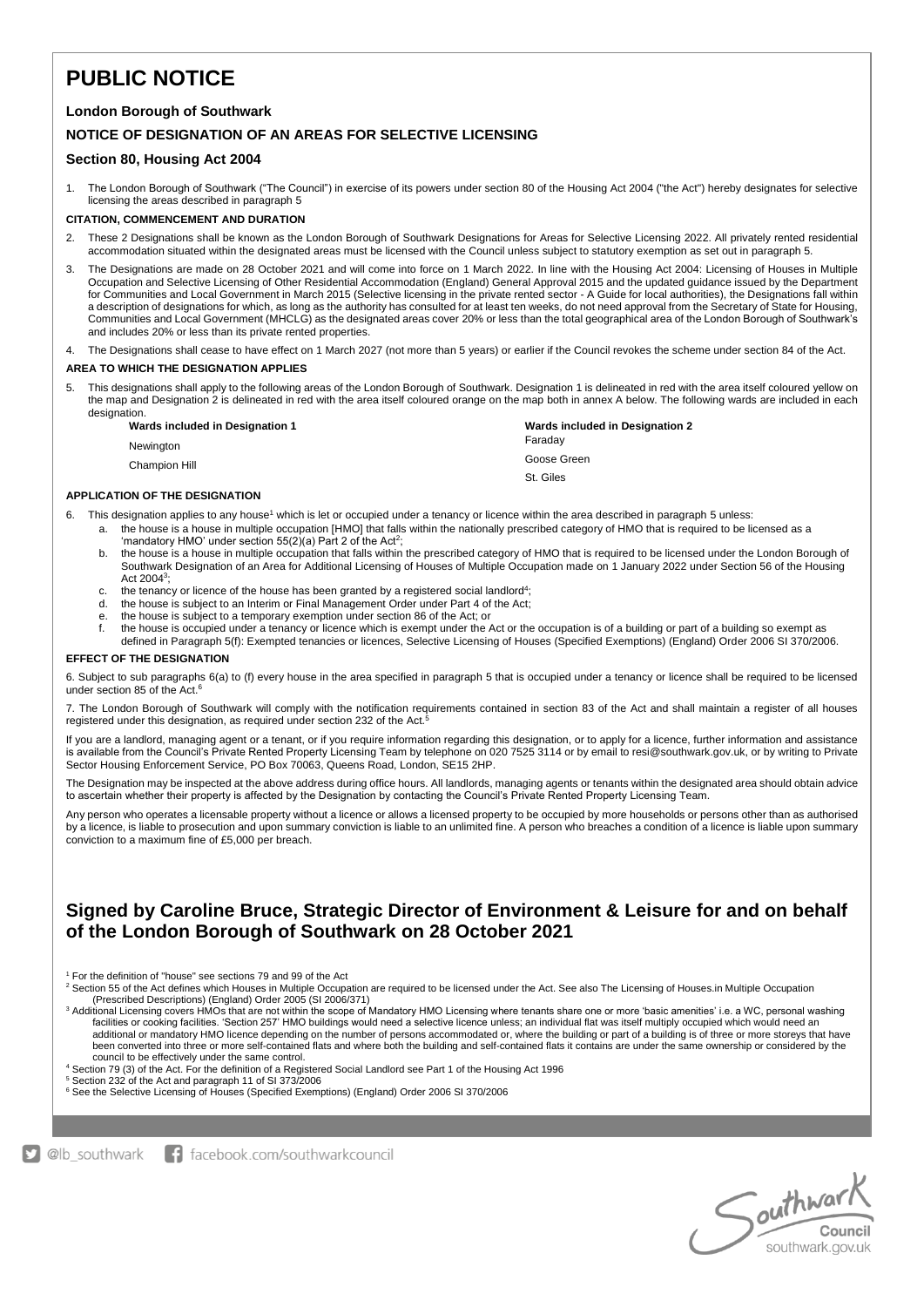# **PUBLIC NOTICE**

### **London Borough of Southwark**

### **NOTICE OF DESIGNATION OF AN AREAS FOR SELECTIVE LICENSING**

### **Section 80, Housing Act 2004**

1. The London Borough of Southwark ("The Council") in exercise of its powers under section 80 of the Housing Act 2004 ("the Act") hereby designates for selective licensing the areas described in paragraph 5

#### **CITATION, COMMENCEMENT AND DURATION**

- 2. These 2 Designations shall be known as the London Borough of Southwark Designations for Areas for Selective Licensing 2022. All privately rented residential accommodation situated within the designated areas must be licensed with the Council unless subject to statutory exemption as set out in paragraph 5.
- The Designations are made on 28 October 2021 and will come into force on 1 March 2022. In line with the Housing Act 2004: Licensing of Houses in Multiple Occupation and Selective Licensing of Other Residential Accommodation (England) General Approval 2015 and the updated guidance issued by the Department for Communities and Local Government in March 2015 (Selective licensing in the private rented sector - A Guide for local authorities), the Designations fall within a description of designations for which, as long as the authority has consulted for at least ten weeks, do not need approval from the Secretary of State for Housing, Communities and Local Government (MHCLG) as the designated areas cover 20% or less than the total geographical area of the London Borough of Southwark's and includes 20% or less than its private rented properties.
- 4. The Designations shall cease to have effect on 1 March 2027 (not more than 5 years) or earlier if the Council revokes the scheme under section 84 of the Act.

#### **AREA TO WHICH THE DESIGNATION APPLIES**

This designations shall apply to the following areas of the London Borough of Southwark. Designation 1 is delineated in red with the area itself coloured yellow on the map and Designation 2 is delineated in red with the area itself coloured orange on the map both in annex A below. The following wards are included in each designation.

| Wards included in Designation 1 | Wards included in Designation 2 |
|---------------------------------|---------------------------------|
| Newinaton                       | Faradav                         |
| Champion Hill                   | Goose Green                     |
|                                 | St. Giles                       |

#### **APPLICATION OF THE DESIGNATION**

6. This designation applies to any house<sup>1</sup> which is let or occupied under a tenancy or licence within the area described in paragraph 5 unless:

- a. the house is a house in multiple occupation [HMO] that falls within the nationally prescribed category of HMO that is required to be licensed as a 'mandatory HMO' under section  $55(2)(a)$  Part 2 of the Act<sup>2</sup>;
- b. the house is a house in multiple occupation that falls within the prescribed category of HMO that is required to be licensed under the London Borough of Southwark Designation of an Area for Additional Licensing of Houses of Multiple Occupation made on 1 January 2022 under Section 56 of the Housing Act  $2004^3$ ;
- c. the tenancy or licence of the house has been granted by a registered social landlord<sup>4</sup>;
- d. the house is subject to an Interim or Final Management Order under Part 4 of the Act;
- e. the house is subject to a temporary exemption under section 86 of the Act; or  $f$ , the house is occupied under a tenancy or licence which is exempt under the  $\ell$
- the house is occupied under a tenancy or licence which is exempt under the Act or the occupation is of a building or part of a building so exempt as defined in Paragraph 5(f): Exempted tenancies or licences, Selective Licensing of Houses (Specified Exemptions) (England) Order 2006 SI 370/2006.

#### **EFFECT OF THE DESIGNATION**

6. Subject to sub paragraphs 6(a) to (f) every house in the area specified in paragraph 5 that is occupied under a tenancy or licence shall be required to be licensed under section 85 of the Act.<sup>6</sup>

7. The London Borough of Southwark will comply with the notification requirements contained in section 83 of the Act and shall maintain a register of all houses registered under this designation, as required under section 232 of the Act.<sup>5</sup>

If you are a landlord, managing agent or a tenant, or if you require information regarding this designation, or to apply for a licence, further information and assistance is available from the Council's Private Rented Property Licensing Team by telephone on 020 7525 3114 or by email to resi@southwark.gov.uk, or by writing to Private Sector Housing Enforcement Service, PO Box 70063, Queens Road, London, SE15 2HP.

The Designation may be inspected at the above address during office hours. All landlords, managing agents or tenants within the designated area should obtain advice to ascertain whether their property is affected by the Designation by contacting the Council's Private Rented Property Licensing Team.

Any person who operates a licensable property without a licence or allows a licensed property to be occupied by more households or persons other than as authorised by a licence, is liable to prosecution and upon summary conviction is liable to an unlimited fine. A person who breaches a condition of a licence is liable upon summary conviction to a maximum fine of £5,000 per breach.

## **Signed by Caroline Bruce, Strategic Director of Environment & Leisure for and on behalf of the London Borough of Southwark on 28 October 2021**

<sup>1</sup> For the definition of "house" see sections 79 and 99 of the Act

<sup>2</sup> Section 55 of the Act defines which Houses in Multiple Occupation are required to be licensed under the Act. See also The Licensing of Houses.in Multiple Occupation (Prescribed Descriptions) (England) Order 2005 (SI 2006/371)

<sup>3</sup> Additional Licensing covers HMOs that are not within the scope of Mandatory HMO Licensing where tenants share one or more 'basic amenities' i.e. a WC, personal washing facilities or cooking facilities. 'Section 257' HMO buildings would need a selective licence unless; an individual flat was itself multiply occupied which would need an additional or mandatory HMO licence depending on the number of persons accommodated or, where the building or part of a building is of three or more storeys that have<br>been converted into three or more self-contained flats council to be effectively under the same control.

<sup>4</sup> Section 79 (3) of the Act. For the definition of a Registered Social Landlord see Part 1 of the Housing Act 1996

<sup>5</sup> Section 232 of the Act and paragraph 11 of SI 373/2006

<sup>6</sup> See the Selective Licensing of Houses (Specified Exemptions) (England) Order 2006 SI 370/2006



D @lb\_southwark | facebook.com/southwarkcouncil

Southwark southwark.gov.uk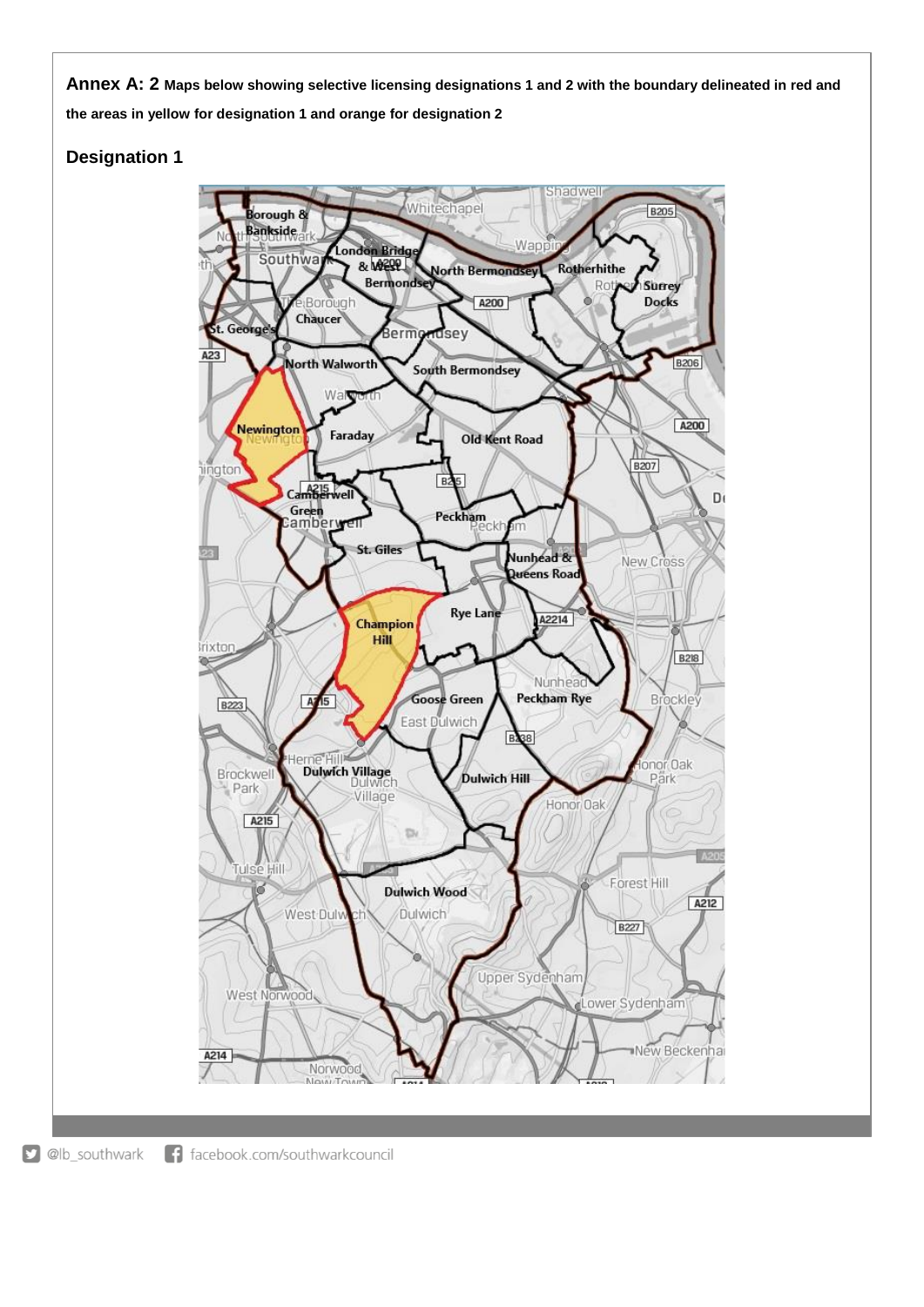**Annex A: 2 Maps below showing selective licensing designations 1 and 2 with the boundary delineated in red and the areas in yellow for designation 1 and orange for designation 2**

## **Designation 1**